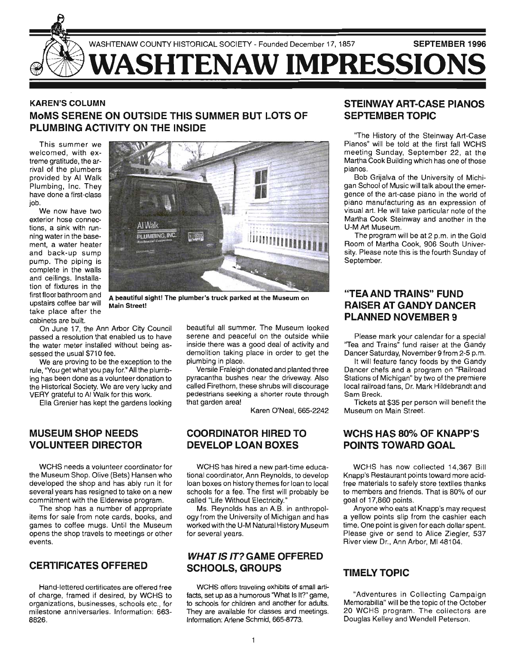

## KAREN'S COLUMN MoMS SERENE ON OUTSIDE THIS SUMMER BUT LOTS OF PLUMBING ACTIVITY ON THE INSIDE

This summer we welcomed, with extreme gratitude, the arrival of the plumbers provided by AI Walk Plumbing, Inc. They have done a first-class job.

We now have two exterior hose connections, a sink with running water in the basement, a water heater and back-up sump pump. The piping is complete in the walls and ceilings. Installation of fixtures in the upstairs coffee bar will Main Street! take place after the cabinets are built.



first floor bathroom and A beautiful sight! The plumber's truck parked at the Museum on

On June 17, the Ann Arbor City Council passed a resolution that enabled us to have the water meter installed without being assessed the usual \$710 fee.

We are proving to be the exception to the rule, ''You get what you pay for." All the plumbing has been done as a volunteer donation to the Historical Society. We are very lucky and VERY grateful to AI Walk for this work.

Ella Grenier has kept the gardens looking

## MUSEUM SHOP NEEDS VOLUNTEER DIRECTOR

WCHS needs a volunteer coordinator for the Museum Shop. Olive (Bets) Hansen who developed the shop and has ably run it for several years has resigned to take on a new commitment with the Elderwise program.

The shop has a number of appropriate items for sale from note cards, books, and games to coffee mugs. Until the Museum opens the shop travels to meetings or other events.

### CERTIFICATES OFFERED

Hand-lettered certificates are offered free of charge, framed if desired, by WCHS to organizations, businesses, schools etc., for milestone anniversaries. Information: 663- 8826.

beautiful all summer. The Museum looked serene and peaceful on the outside whiie inside there was a good deal of activity and demolition taking place in order to get the plumbing in place.

Versile Fraleigh donated and planted three pyracantha bushes near the driveway. Also called Firethorn, these shrubs will discourage pedestrians seeking a shorter route through that garden area!

Karen O'Neal, 665-2242

### COORDINATOR HIRED TO DEVELOP LOAN BOXES

WCHS has hired a new part-time educational coordinator, Ann Reynolds, to develop loan boxes on history themes for loan to local schools for a fee. The first will probably be called "Life Without Electricity."

Ms. Reynolds has an A.B. in anthropology from the University of Michigan and has worked with the U-M Natural History Museum for several years.

## WHAT IS IT? GAME OFFERED SCHOOLS, GROUPS

WCHS offers traveling exhibits of small artifacts, set up as a humorous 'What Is It?" game, to schools for children and another for adults. They are available for classes and meetings. Information: Arlene Schmid, 665-8773.

### STEINWAY ART-CASE PIANOS SEPTEMBER TOPIC

"The History of the Steinway Art-Case Pianos" will be told at the first fall WCHS meeting Sunday, September 22, at the Martha Cook Building which has one of those pianos.

Bob Grijalva of the University of Michigan School of Music will talk about the emergence of the art-case piano in the world of piano manufacturing as an expression of visual art. He will take particular note of the Martha Cook Steinway and another in the U-M Art Museum.

The program will be at 2 p.m. in the Gold Room of Martha Cook, 906 South University. Please note this is the fourth Sunday of September.

## "TEA AND TRAINS" FUND RAISER AT GANDY DANCER PLANNED NOVEMBER 9

Please mark your calendar for a special "Tea and Trains" fund raiser at the Gandy Dancer Saturday, November 9 from 2-5 p. m.

It will feature fancy foods by the Gandy Dancer chefs and a program on "Railroad Stations of Michigan" by two of the premiere local railroad fans, Dr. Mark Hildebrandt and Sam Breck.

Tickets at \$35 per person will benefit the Museum on Main Street.

## WCHS HAS 80% OF KNAPP'S POINTS TOWARD GOAL

WCHS has now collected 14,367 Bill Knapp's Restaurant points toward more acidfree materials to safely store textiles thanks to members and friends. That is 80% of our goal of 17,860 points.

Anyone who eats at Knapp's may request a yellow points slip from the cashier each time. One point is given for each dollar spent. Please give or send to Alice Ziegler, 537 River view Dr., Ann Arbor, MI 48104.

## TIMELY TOPIC

"Adventures in Collecting Campaign Memorabilia" will be the topic of the October 20 WCHS program. The collectors are Douglas Kelley and Wendell Peterson.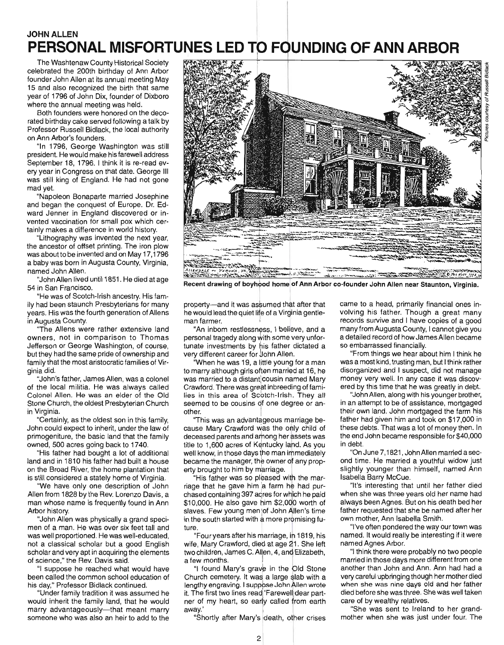# JOHN ALLEN **PERSONAL MISFORTUNES LED TO FOUNDING OF ANN ARBOR**

The Washtenaw County Historical Society celebrated the 200th birthday of Ann Arbor founder John Allen at its annual meeting May 15 and also recognized the birth that same year of 1796 of John Dix, founder of Dixboro where the annual meeting was held.

Both founders were honored on the decorated birthday cake served following a talk by Professor Russell Bidlack, the local authority on Ann Arbor's founders.

"In 1796, George Washington was still president. He would make his farewell address September 18, 1796. I think it is re-read every year in Congress on that date. George III was still king of England. He had not gone mad yet.

"Napoleon Bonaparte married Josephine and began the conquest of Europe. Dr. Edward Jenner in England discovered or invented vaccination for small pox which certainly makes a difference in world history.

"Lithography was invented the next year, the ancestor of offset printing. The iron plow was about to be invented and on May 17,1796 a baby was born in Augusta County, Virginia, named John Allen.

"John Allen lived until 1851 . He died at age 54 in San Francisco.

"He was of Scotch-Irish ancestry. His family had been staunch Presbyterians for many years. His was the fourth generation of Aliens in Augusta County.

"The Aliens were rather extensive land owners, not in comparison to Thomas Jefferson or George Washington, of course, but they had the same pride of ownership and family that the most aristocratic families of Virginia did.

"John's father, James Allen, was a colonel of the local militia. He was always called Colonel Allen. He was an elder of the Old Stone Church, the oldest Presbyterian Church in Virginia.

"Certainly, as the oldest son in this family, John could expect to inherit, under the law of primogeniture, the basic land that the family owned, 500 acres going back to 1740.

"His father had bought a lot of additional land and in 1810 his father had built a house on the Broad River, the home plantation that is still considered a stately home of Virginia.

"We have only one description of John Allen from 1828 by the Rev. Lorenzo Davis, a man whose name is frequently found in Ann Arbor history.

"John Allen was physically a grand specimen of a man. He was over six feet tall and was well proportioned. He was well-educated, not a classical scholar but a good English scholar and very apt in acquiring the elements of science," the Rev. Davis said.

"I suppose he reached what would have been called the common school education of his day," Professor Bidlack continued.

"Under family tradition it was assumed he would inherit the family land, that he would marry advantageously-that meant marry someone who was also an heir to add to the



Recent drawing of boyhood home of Ann Arbor co-founder John Allen near Staunton, Virginia.

property-and it was assumed that after that he would lead the quiet life of a Virginia gentleman farmer.

"An inbom restlessness, I believe, and a personal tragedy along with some very unfortunate investments by his father dictated a very different career for John Allen.

"When he was 19, a little young for a man to marry although girls often married at 16, he was married to a distant cousin named Mary Crawford. There was great inbreeding of families in this area of Scotch-Irish. They all seemed to be cousins of one degree or an-<br>other.

"This was an advantageous marriage because Mary Crawford was the only child of deceased parents and among her assets was title to 1,600 acres of Kentucky land. As you well know, in those days the man immediately became the manager, the owner of any property brought to him by marriage.

"His father was so pleased with the marriage that he gave him a farm he had purchased containing 397 acres for which he paid \$10,000. He also gave him \$2,000 worth of slaves. Few young men of John Allen's time in the south started with a more promising fu-

"Four years after his marriage, in 1819, his wife, Mary Crawford, died at age 21. She left two children, James C. Allen, 4, and Elizabeth, a few months.

"I found Mary's grave in the Old Stone Church cemetery. It was a large slab with a lengthy engraving. I suppose John Allen wrote it. The first two lines read 'Farewell dear partner of my heart, so early called from earth away.'

"Shortly after Mary's

came to a head, primarily financial ones involving his father. Though a great many records survive and I have copies of a good many from Augusta County, I cannot give you a detailed record of how James Allen became so embarrassed financially.

"From things we hear about him I think he was a most kind, trusting man, but I think rather disorganized and I suspect, did not manage money very well. In any case it was discovered by this time that he was greatly in debt.

"John Allen, along with his younger brother, in an attempt to be of assistance, mortgaged their own land. John mortgaged the farm his father had given him and took on \$17,000 in these debts. That was a lot of money then. In the end John became responsible for \$40,000 in debt.

"On June 7,1821, JohnAlien married a second time. He married a youthful widow just slightly younger than himself, named Ann Isabella Barry McCue.

"It's interesting that until her father died when she was three years old her name had always been Agnes. But on his death bed her father requested that she be named after her own mother, Ann Isabella Smith.

"I've often pondered the way our town was named. It would really be interesting if it were named Agnes Arbor.

"I think there were probably no two people married in those days more different from one another than John and Ann. Ann had had a very careful upbringing though her mother died when she was nine days old and her father died before she was three. She was well taken care of by wealthy relatives.

"She was sent to Ireland to her grandmother when she was just under four. The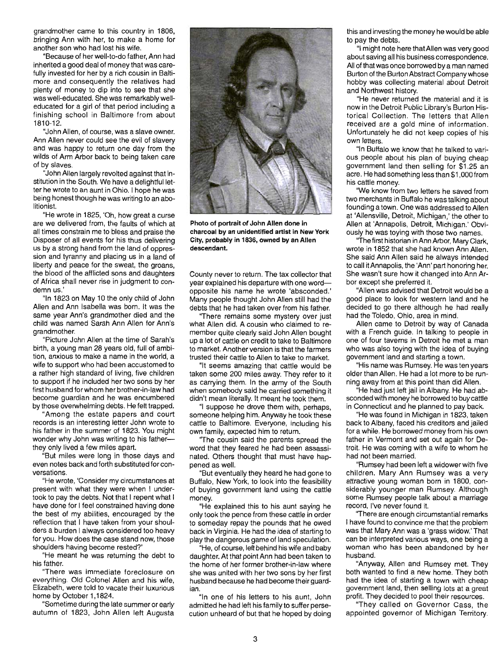grandmother came to this country in 1806, bringing Ann with her, to make a home for another son who had lost his wife.

"Because of her well-to-do father, Ann had inherited a good deal of money that was carefully invested for her by a rich cousin in Baltimore and consequently the relatives had plenty of money to dip into to see that she was well-educated. She was remarkably welleducated for a girl of that period including a finishing school in Baltimore from about 1810-12.

"John Allen, of course, was a slave owner. Ann Allen never could see the evil of slavery and was happy to return one day from the wilds of Arm Arbor back to being taken care of by slaves.

"John Allen largely revolted against that institution in the South. We have a delightful letter he wrote to an aunt in Ohio. I hope he was being honest though he was writing to an abolitionist.

"He wrote in 1825, 'Oh, how great a curse are we delivered from, the faults of which at all times constrain me to bless and praise the Disposer of all events for his thus delivering us by a strong hand from the land of oppression and tyranny and placing us in a land of liberty and peace for the sweat, the groans. the blood of the afflicted sons and daughters of Africa shall never rise in judgment to condemn us.'

"In 1823 on May 10 the only child of John Allen and Ann Isabella was born. It was the same year Ann's grandmother died and the child was named Sarah Ann Allen for Ann's grandmother.

"Picture John Allen at the time of Sarah's birth, a young man 28 years old, full of ambition, anxious to make a name in the world, a wife to support who had been accustomed to a rather high standard of living, five children to support if he included her two sons by her first husband for whom her brother-in-law had become guardian and he was encumbered by those overwhelming debts. He felt trapped.

"Among the estate papers and court records is an interesting letter John wrote to his father in the summer of 1823. You might wonder why John was writing to his fatherthey only lived a few miles apart.

"But miles were long in those days and even notes back and forth substituted for conversations.

"He wrote, 'Consider my circumstances at present with what they were when I undertook to pay the debts. Not that I repent what I have done for I feel constrained having done the best of my abilities, encouraged by the reflection that I have taken from your shoulders a burden I always considered too heavy for you. How does the case stand now, those shoulders having become rested?'

"He meant he was returning the debt to his father.

"There was immediate foreclosure on everything. Old Colonel Allen and his wife, Elizabeth, were told to vacate their luxurious home by October 1,1824.

"Sometime during the late summer or early autumn of 1823, John Allen left Augusta



Photo of portrait of John Allen done in charcoal by an unidentified artist in New York City, probably in 1836, owned by an Allen descendant.

County never to return. The tax collector that year explained his departure with one wordopposite his name he wrote 'absconded.' Many people thought John Allen still had the debts that he had taken over from his father.

''There remains some mystery over just what Allen did. A cousin who claimed to remember quite clearly said John Allen bought up a lot of cattle on credit to take to Baltimore to market. Another version is that the farmers trusted their cattle to Allen to take to market.

"It seems amazing that cattle would be taken some 200 miles away. They refer to it as carrying them. In the army of the South when somebody said he carried something it didn't mean literally. It meant he took them.

"I suppose he drove them with, perhaps, someone helping him. Anyway he took these cattle to Baltimore. Everyone, including his own family, expected him to retum.

''The cousin said the parents spread the word that they feared he had been assassinated. Others thought that must have happened as well.

"But eventually they heard he had gone to Buffalo, New York, to look into the feasibility of buying government land using the cattle money.

"He explained this to his aunt saying he only took the pence from these cattle in order to someday repay the pounds that he owed back in Virginia. He had the idea of starting to play the dangerous game of land speculation.

"He, of course, left behind his wife and baby daughter. At that point Ann had been taken to the home of her former brother-in-law where she was united with her two sons by her first husband because he had become their guardian.

"In one of his letters to his aunt, John admitted he had left his family to suffer persecution unheard of but that he hoped by doing this and investing the money he would be able to pay the debts.

"I might note here that Allen was very good about saving all his business correspondence. All of that was once borrowed by a man named Burton of the Burton Abstract Company whose hobby was collecting material about Detroit and Northwest history.

"He never returned the material and it is now in the Detroit Public Library's Burton Historical Collection. The letters that Allen received are a gold mine of information. Unfortunately he did not keep copies of his own letters.

"In Buffalo we know that he talked to various people about his plan of buying cheap government land then selling for \$1 .25 an acre. He had something less than \$1,000 from his cattle money.

'We know from two letters he saved from two merchants in Buffalo he was talking about founding a town. One was addressed to Allen at 'Allensville, Detroit, Michigan,' the other to Allen at 'Annapolis, Detroit, Michigan.' Obviously he was toying with those two names.

''The first historian in Ann Arbor, Mary Clark, wrote in 1852 that she had known Ann Allen. She said Ann Allen said he always intended to call it Annapolis, the 'Ann' part honoring her. She wasn't sure how it changed into Ann Arbor except she preferred it.

"Allen was advised that Detroit would be a good place to look for western land and he decided to go there although he had really had the Toledo, Ohio, area in mind.

Allen came to Detroit by way of Canada with a French guide. In talking to people in one of four taverns in Detroit he met a man who was also toying with the idea of buying government land and starting a town.

"His name was Rumsey. He was ten years older than Allen. He had a lot more to be running away from at this point than did Allen.

"He had just left jail in Albany. He had absconded with money he borrowed to buy cattle in Connecticut and he planned to pay back.

"He was found in Michigan in 1823, taken back to Albany, faced his creditors and jailed for a while. He borrowed money from his own father in Vermont and set out again for Detroit. He was coming with a wife to whom he had not been married.

"Rumsey had been left a widower with five children. Mary Ann Rumsey was a very attractive young woman born in 1800, considerably younger man Rumsey. Although some Rumsey people talk about a marriage record, I've never found it.

''There are enough circumstantial remarks I have found to convince me that the problem was that Mary Ann was a 'grass widow.' That can be interpreted various ways, one being a woman who has been abandoned by her husband.

"Anyway, Allen and Rumsey met. They both wanted to find a new home. They both had the idea of starting a town with cheap government land, then selling lots at a great profit. They decided to pool their resources.

"They called on Governor Cass, the appointed governor of Michigan Territory.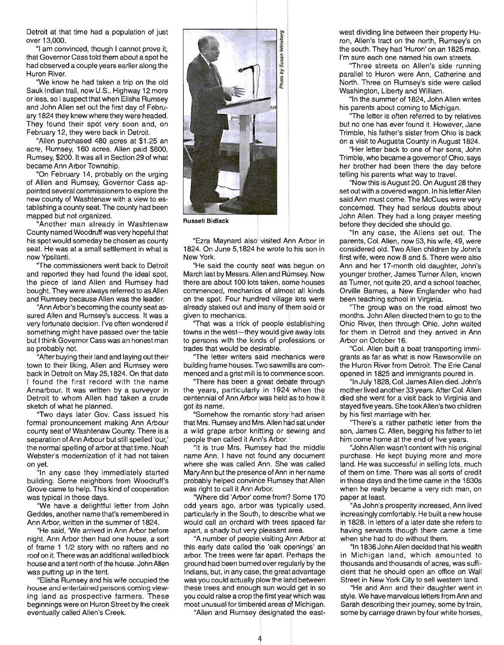Detroit at that time had a population of just over 13,000.

"I am convinced, though I cannot prove it, that Governor Cass told them about a spot he had observed a couple years earlier along the Huron River.

"We know he had taken a trip on the old Sauk Indian trail, now U.S., Highway 12 more or less, so I suspect that when Elisha Rumsey and John Allen set out the first day of February 1824 they knew where they were headed. They found their spot very soon and, on February 12, they were back in Detroit.

"Allen purchased 480 acres at \$1 .25 an acre, Rumsey, 160 acres. Allen paid \$600, Rumsey, \$200. It was all in Section 29 of what became Ann Arbor Township.

"On February 14, probably on the urging of Allen and Rumsey, Governor Cass appointed several commissioners to explore the new county of Washtenaw with a view to establishing a county seat. The county had been mapped but not organized.

"Another man already in Washtenaw County named Woodruff was very hopeful that his spot would someday be chosen as county seat. He was at a small settlement in what is now Ypsilanti.

''The commissioners went back to Detroit and reported they had found the ideal spot, the piece of land Allen and Rumsey had bought. They were always referred to as Allen and Rumsey because Allen was the leader.

"Ann Arbor's becoming the county seat assured Allen and Rumsey's success. It was a very fortunate decision. I've often wondered if something might have passed over the table but I think Governor Cass was an honest man so probably not.

"After buying their land and laying out their town to their liking, Allen and Rumsey were back in Detroit on May 25,1824. On that date I found the first record with the name Annarbour. It was written by a surveyor in Detroit to whom Allen had taken a crude sketch of what he planned.

"Two days later Gov. Cass issued his formal pronouncement making Ann Arbour county seat of Washtenaw County. There is a separation of Ann Arbour but still spelled 'our,' the normal spelling of arbor at that time. Noah Webster's modernization of it had not taken on yet.

"In any case they immediately started building. Some neighbors from Woodruff's Grove came to help. This kind of cooperation was typical in those days.

"We have a delightful letter from John Geddes, another name that's remembered in Ann Arbor, written in the summer of 1824.

"He said, 'We arrived in Ann Arbor before night. Ann Arbor then had one house, a sort of frame 1 1/2 story with no rafters and no roof on it. There was an additional walled block house and a tent north of the house. John Allen was putting up in the tent.

"Elisha Rumsey and his wife occupied the house and entertained persons coming viewing land as prospective farmers. These beginnings were on Huron Street by the creek eventually called Allen's Creek.



**Russell Bidlack** 

"Ezra Maynard also visited Ann Arbor in 1824. On June 5,1824 he wrote to his son in New York.

"He said the county seat was begun on March last by Messrs. Allen and Rumsey. Now there are about 100 lots taken, some houses commenced, mechanics of almost all kinds on the spot. Four hundred village lots were already staked out and many of them sold or given to mechanics.

''That was a trick of people establishing towns in the west-they would give away lots to persons with the kinds of professions or trades that would be desirable.

''The letter writers said mechanics were building frame houses. Two sawmills are commenced and a grist mill is to commence soon.

''There has been a great debate through the years, particularly in 1924 when the centennial of Ann Arbor was held as to how it<br>got its name.

"Somehow the romantic story had arisen that Mrs. Rumsey and Mrs. Allen had sat under a wild grape arbor knitting or sewing and people then called it Ann's Arbor.

"It is true Mrs. Rumsey had the middle name Ann. I have not found any document where she was called Ann. She was called Mary Ann but the presence of Ann in her name probably helped convince Rumsey that Allen was right to call it Ann Arbor.

'Where did 'Arbor' cdme from? Some 170 odd years ago, arbor was typically used, particularly in the South) to describe what we would call an orchard with trees spaced far apart, a shady but very pleasant area.

"A number of people visiting Ann Arbor at this early date called the 'oak openings' an arbor. The trees were far apart. Perhaps the ground had been burned over regularly by the ground had been burned over regularly by the<br>ndians, but, in any case, the great advantage was you could actually plow the land between these trees and enough sun would get in so you could raise a crop the first year which was most unusual for timbered areas of Michigan.

"Allen and Rumsey designated the east-

west dividing line between their property Huron, Allen's tract on the north, Rumsey's on the south. They had 'Huron' on an 1825 map. I'm sure each one named his own streets.

"Three streets on Allen's side running parallel to Huron were Ann, Catherine and North. Three on Rumsey's side were called Washington, Liberty and William.

"In the summer of 1824, John Allen writes his parents about coming to Michigan.

''The letter is often referred to by relatives but no one has ever found it. However, Jane Trimble, his father's sister from Ohio is back on a visit to Augusta County in August 1824.

"Her letter back to one of her sons, John Trimble, who became a govemor of Ohio, says her brother had been there the day before telling his parents what way to travel.

"Now this is August 29. On August 28 they set out with a covered wagon. In his letter Allen said Ann must come. The McCues were very concerned. They had serious doubts about John Allen. They had a long prayer meeting before they decided she should go.

"In any case, the Aliens set out. The parents, Col. Allen, now 53, his wife, 49, were considered old. Two Allen children by John's first wife, were now 8 and 5. There were also Ann and her 17-month old daughter, John's younger brother, James Turner Allen, known as Turner, not quite 20, and a school teacher, Orville Barnes, a New Englander who had been teaching school in Virginia.

''The group was on the road almost two months. John Allen directed them to go to the Ohio River, then through Ohio. John waited for them in Detroit and they arrived in Ann Arbor on October 16.

"Col. Allen built a boat transporting immigrants as far as what is now Rawsonville on the Huron River from Detroit. The Erie Canal opened in 1825 and immigrants poured in.

"In July 1828, Col. James Allen died. John's mother lived another 33 years. After Col. Allen died she went for a visit back to Virginia and stayed five years. She took Allen's two children by his first marriage with her.

''There's a rather pathetic letter from the son, James C. Allen, begging his father to let him come home at the end of five years.

"John Allen wasn't content with his original purchase. He kept buying more and more land. He was successful in selling lots, much of them on time. There was all sorts of credit in those days and the time came in the 1830s when he really became a very rich man, on paper at least.

"As John's prosperity increased, Ann lived increasingly comfortably. He built a new house in 1828. In letters of a later date she refers to having servants though there came a time when she had to do without them.

"In 1836 John Allen decided that his wealth in Michigan land, which amounted to thousands and thousands of acres, was sufficient that he should open an office on Wall Street in New York City to sell western land.

"He and Ann and their daughter went in style. We have marvelous letters from Ann and Sarah describing their journey, some by train, some by carriage drawn by four white horses,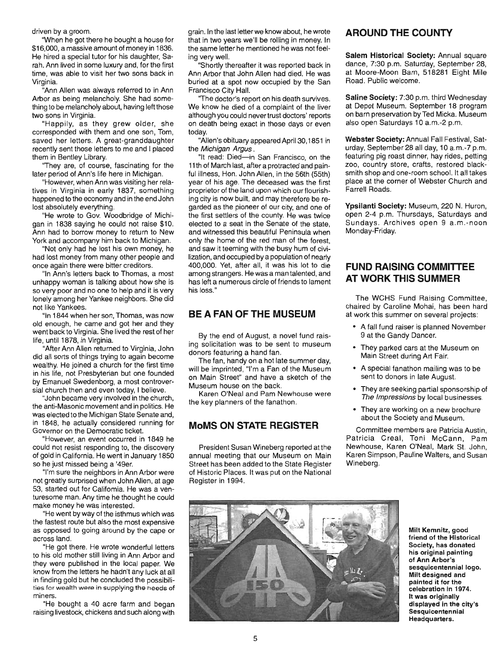driven by a groom.

'When he got there he bought a house for \$16,000, a massive amount of money in 1836. He hired a special tutor for his daughter, Sarah. Ann lived in some luxury and, for the first time, was able to visit her two sons back in Virginia.

"Ann Allen was always referred to in Ann Arbor as being melancholy. She had something to be melancholy about, having left those two sons in Virginia.

"Happily, as they grew older, she corresponded with them and one son, Tom, saved her letters. A great-granddaughter recently sent those letters to me and I placed them in Bentley Library.

''They are, of course, fascinating for the later period of Ann's life here in Michigan.

"However, when Ann was visiting her relatives in Virginia in early 1837, something happened to the economy and in the end John lost absolutely everything.

"He wrote to Gov. Woodbridge of Michigan in 1838 saying he could not raise \$10. Ann had to borrow money to return to New York and accompany him back to Michigan.

"Not only had he lost his own money, he had lost money from many other people and once again there were bitter creditors.

"In Ann's letters back to Thomas, a most unhappy woman is talking about how she is so very poor and no one to help and it is very lonely among her Yankee neighbors. She did not like Yankees.

"In 1844 when her son, Thomas, was now old enough, he came and got her and they went back to Virginia. She lived the rest of her life, until 1878, in Virginia.

"After Ann Allen returned to Virginia, John did all sorts of things trying to again become wealthy. He joined a church for the first time in his life, not Presbyterian but one founded by Emanuel Swedenborg, a most controversial church then and even today, I believe.

"John became very involved in the church, the anti-Masonic movement and in politics. He was elected to the Michigan State Senate and, in 1848, he actually considered running for Governor on the Democratic ticket.

"However, an event occurred in 1849 he could not resist responding to, the discovery of gold in California. He went in January 1850 so he just missed being a '4ger.

. "I'm sure the neighbors in Ann Arbor were not greatly surprised when John Allen, at age 53, started out for California. He was a venturesome man. Any time he thought he could make money he was interested.

"He went by way of the isthmus which was the fastest route but also the most expensive as opposed to going around by the cape or across land.

"He got there. He wrote wonderful letters to his old mother still living in Ann Arbor and they were published in the local paper. We know from the letters he hadn't any luck at all in finding gold but he concluded the possibilities for wealth were in supplying the needs of miners.

"He bought a 40 acre farm and began raising livestock, chickens and such along with grain. In the last letter we know about, he wrote that in two years we'll be rolling in money. In the same letter he mentioned he was not feeling very well.

"Shortly thereafter it was reported back in Ann Arbor that John Allen had died. He was buried at a spot now occupied by the San Francisco City Hall.

''The doctor's report on his death survives. We know he died of a complaint of the liver although you could never trust doctors' reports on death being exact in those days or even today.

"Allen's obituary appeared April 30,1851 in the Michigan Argus.

"It read: Died-in San Francisco, on the 11 th of March last, after a protracted and painful illness, Hon. John Allen, in the 56th (55th) year of his age. The deceased was the first proprietor of the land upon which our flourishing city is now built, and may therefore be regarded as the pioneer of our city, and one of the first settlers of the county. He was twice elected to a seat in the Senate of the state, and witnessed this beautiful Peninsula when only the home of the red man of the forest, and saw it teeming with the busy hum of civilization, and occupied by a population of nearly 400,000. Yet, after all, it was his lot to die among strangers. He was a man talented, and has left a numerous circle of friends to lament his loss."

#### **BE A FAN OF THE MUSEUM**

By the end of August, a novel fund raising solicitation was to be sent to museum donors featuring a hand fan.

The fan, handy on a hot late summer day, will be imprinted, "I'm a Fan of the Museum on Main Street" and have a sketch of the Museum house on the back.

Karen O'Neal and Pam Newhouse were the key planners of the fanathon.

#### **MoMS ON STATE REGISTER**

President Susan Wineberg reported at the annual meeting that our Museum on Main Street has been added to the State Register of Historic Places. It was put on the National Register in 1994.

## **AROUND THE COUNTY**

Salem Historical Society: Annual square dance, 7:30 p.m. Saturday, September 28, at Moore-Moon Barn, 518281 Eight Mile Road. Public welcome.

Saline Society: 7:30 p.m. third Wednesday at Depot Museum. September 18 program on barn preservation by Ted Micka. Museum also open Saturdays 10 a.m.-2 p.m.

Webster Society: Annual Fall Festival, Saturday, September 28 all day, 10 a.m.-7 p.m. featuring pig roast dinner, hay rides, petting zoo, country store, crafts, restored blacksmith shop and one-room school. It all takes place at the corner of Webster Church and Farrell Roads.

Ypsilanti Society: Museum, 220 N. Huron, open 2-4 p.m. Thursdays, Saturdays and Sundays . Archives open 9 a.m.-noon Monday-Friday.

## **FUND RAISING COMMITTEE AT WORK THIS SUMMER**

The WCHS Fund Raising Committee, chaired by Caroline Mohai, has been hard at work this summer on several projects:

- A fall fund raiser is planned November 9 at the Gandy Dancer.
- They parked cars at the Museum on Main Street during Art Fair.
- A special fanathon mailing was to be sent to donors in late August.
- They are seeking partial sponsorship of The Impressions by local businesses.
- They are working on a new brochure about the Society and Museum.

Committee members are Patricia Austin, Patricia Creal, Toni McCann, Pam Newhouse, Karen O'Neal, Mark St. John, Karen Simpson, Pauline Walters, and Susan Wineberg.



Milt Kemnitz, good friend of the Historical Society, has donated his original painting of Ann Arbor's sesquicentennial logo. Milt designed and painted it for the celebration in 1974. It was originally displayed in the city's **Sesquicentennial** Headquarters.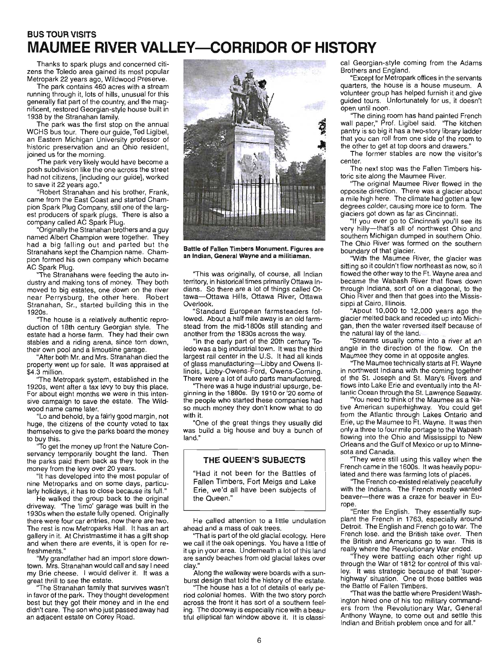# **BUS TOUR VISITS MAUMEE RIVER VALLEY-CORRIDOR OF HISTORY**

Thanks to spark plugs and concerned citizens the Toledo area gained its most popular Metropark 22 years ago, Wildwood Preserve.

The park contains 460 acres with a stream running through it, lots of hills, unusual for this generally flat part of the country, and the magnificent, restored Georgian-style house built in 1938 by the Stranahan family.

The park was the first stop on the annual WCHS bus tour. There our guide, Ted Ligibel, an Eastern Michigan University professor of historic preservation and an Ohio resident, historic preservation and an Ohio resident, ioined us for the morning.

''The park very likely would have become a posh subdivision like the one across the street had not citizens, [including our guide], worked ad not chizens, [mcludin]

to save it 22 years ago."<br>"Robert Stranahan and his brother, Frank, came from the East Coast and started Champion Spark Plug Company, still one of the largest producers of spark plugs. There is also a company called AC Spark Plug.

"Originally the Stranahan brothers and a guy named Albert Champion were together. They <sup>~</sup> amed Albert Gridmpion were together. They ad a big lalling out and parted but the<br>transhans kept the Champion name. Cham Stranahans kept the Champion name. Champion formed his own company which became AC Spark Plug.

''The Stranahans were feeding the auto industry and making tons of money. They both moved to big estates, one down on the river near Perrysburg, the other here. Robert ear Perrysburg, the other nere. Hobert<br>terms hand Sr., started building this in the Stranahan, Sr., started building this in the 1920s.

The house is a relatively authentic reproduction of 19th century Century and the The estate had a horse farm. They had their own estate had a horse farm. They had their own stables and a riding arena, since torn down, their own pool and a limousine garage.

"After both Mr. and Mrs. Stranahan died the property went up for sale. It was appraised at roperty went

''The Metropark system, established in the 1920s, went after a tax level to buy this place. 1920s, went after a tax levy to buy this place.<br>For about eight months we were in this intensive campaign to save the estate. The Wildwe campaign to save the

wood name came later.<br>"Lo and behold, by a fairly good margin, not huge, the citizens of the county voted to tax uge, the citizens of the county voted to tax ternseives.t<br>Louistic ''To get the money up front the Nature Con-

servancy temporarily bought the land. Then ervancy temporantly bought the land. Then money from the level and contained the part of By ITOM INE TEVY OVER 20 years.<br>These developed into the most popular of

nine Metroparks and on some days, particunine Metroparks and on some days, particularly holidays, it has to close because its full."

He walked the group back to the original driveway. ''The 'lime' group back to the original 1930s when the limp garage was built in the fully opened. Originally 1930s when the estate fully opened. Originally there were four car entries, now there are two.<br>The rest is now Metroparks Hall. It has an art rie rest is now ivien opans mail. It has an antiand y m.n. At Units and Surfle it has a gift shop and when there are events, it is open for re-<br>freshments." "My grandfather had an import store down-

town. Mrs. Stranger had an import store downtown. Mrs. Stranahan would call and say I need my Brie cheese. I would deliver it. It was a great thrill to see the estate. '''Unfill to see the estate.<br>The Stranghan family that survives wasn't

ine Strananan family that survives wasn't in favor of the park. They thought development best but they got their money and in the end didn't care. The son who just passed away had<br>an adjacent estate on Corey Road.



Battle of Fallen Timbers Monument. Figures are an Indian, General Wayne and a militiaman.

''This was originally, of course, all Indian territory, in historical times primarily Ottawa Indians. So there are a lot of things called Ottawa-Ottawa Hills, Ottawa River, Ottawa Overlook.

"Standard European farmsteaders followed. About a half mile away is an old farmstead from the mid-1800s still standing and another from the 1830s across the way.

"In the early part of the 20th century Toledo was a big industrial town. It was the third largest rail center in the U.S. It had all kinds of glass ran center in the O.O. It had all Nings ligiass Illianulactum by-Libby and Owens-II-There were a lot of auto parts manufactured.

''There was a huge industrial upsurge, beginning in the 1 BBOs. By 1910 or '20 some of the people who started these companies had so much money they don't know what to do with it.

"One of the great things they usually did UIT UI the great things they usually ulu las Du<br>nad"

#### **THE QUEEN'S SUBJECTS**

"Had it not been for the Battles of Fallen Timbers, Fort Meigs and Lake Erie, we'd all have been subjects of the Queen."

He called attention to a little undulation ahead and a mass of oak trees.

''That is part of the old glacial ecology. Here we call it the oak openings. You have a little of it up in your area. Underneath a lot of this land ap in your area. Onderneam a lot or mis land l<del>e</del> sal<br>lou"

Along the walkway were boards with a sunburst design that told the history of the estate.

''The house has a lot of details of early peric riouse rids a lot of details of early pe-<br>Local colonial homes. With the two story porch ou coloniar nomes. While the two story porch across the front it has sort of a southern feeling. The doorway is especially nice with a beautiful elliptical fan window above it. It is classical Georgian-style coming from the Adams Brothers and England.

"Except for Metropark offices in the servants quarters, the house is a house museum. A volunteer group has helped furnish it and give guided tours. Unfortunately for us, it doesn't open until noon.

"The dining room has hand painted French wall paper," Prof. Ligibel said. "The kitchen pantry is so big it has a two-story library ladder that you can roll from one side of the room to the other to get at top doors and drawers."

The former stables are now the visitor's center.

The next stop was the Fallen Timbers historic site along the Maumee River.

''The original Maumee River flowed in the opposite direction. There was a glacier about a mile high here. The climate had gotten a few degrees colder, causing more ice to form. The glaciers got down as far as Cincinnati.

"If you ever go to Cincinnati you'll see its very hilly---that's all of northwest Ohio and southern Michigan dumped in southern Ohio. The Ohio River was formed on the southern boundary of that glacier.

"With the Maumee River, the glacier was sitting so it couldn't flow northeast as now, so it flowed the other way to the Ft. Wayne area and became the Wabash River that flows down through Indiana, sort of on a diagonal, to the Ohio River and then that goes into the Mississippi at Cairo, Illinois.

"About 10,000 to 12,000 years ago the glacier melted back and receded up into Michigan, then the water reversed itself because of the natural lay of the land.

"Streams usually come into a river at an angle in the direction of the flow. On the Maumee they come in at opposite angles.

''The Maumee technically starts at Ft. Wayne in northwest Indiana with the coming together of the St. Joseph and St. Mary's Rivers and flows into Lake Erie and eventually into the Atlantic Ocean through the St. Lawrence Seaway.

You need to think of the Maumee as a Native American superhighway. You could get from the Atlantic through Lakes Ontario and Erie, up the Maumee to Ft. Wayne. It was then only a three to four mile portage to the Wabash flowing into the Ohio and Mississippi to New Orleans and the Gulf of Mexico or up to Minnesota and Canada.

They were still using this valley when the French came in the 1600s. It was heavily populated and there was farming lots of places.

''The French co-existed relatively peacefully with the Indians. The French mostly wanted beaver-there was a craze for beaver in Europe.

"Enter the English. They essentially supplant the French in 1763, especially around Detroit. The English and French go to war. The French lose. and the British take over. Then the British and Americans go to war. This is really where the Revolutionary War ended.

y where the rievolutionally war chaca.<br>They were battling each other right up they were batting each other right up ley. It was strategic because of that 'superhighway' situation. One of those battles was the Battle of Fallen Timbers.

That was the battle where President Washington hired one of his top military commanders from the Revolutionary War, General Anthony Wayne, to come out and settle this Indian and British problem once and for all."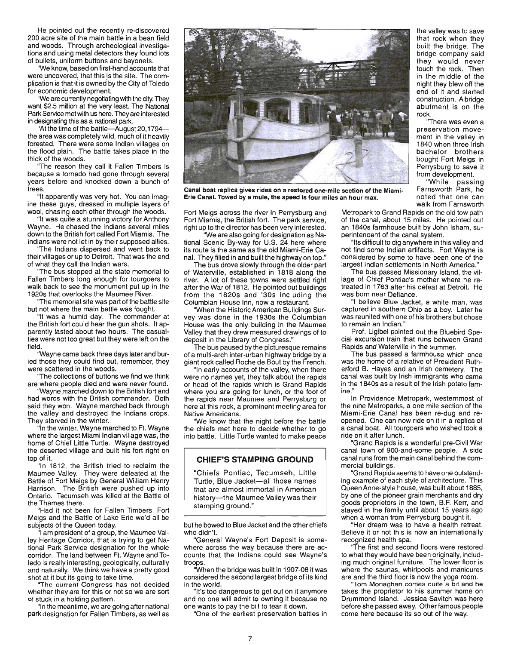He pointed out the recently re-discovered 200 acre site of the main battle in a bean field and woods. Through archeological investigations and using metal detectors they found lots of bullets, uniform buttons and bayonets.

"We know, based on first-hand accounts that were uncovered, that this is the site. The complication is that it is owned by the City of Toledo for economic development.

'We are currently negotiating with the city. They want \$2.5 million at the very least. The National Park Service met with us here. They are interested in designating this as a national park.

"At the time of the battle-August 20,1794the area was completely wild, much of it heavily forested. There were some Indian villages on the flood plain. The battle takes place in the thick of the woods.

"The reason they call it Fallen Timbers is because a tornado had gone through several years before and knocked down a bunch of trees.

"It apparently was very hot. You can imagine these guys, dressed in multiple layers of wool, chasing each other through the woods.

"It was quite a stunning victory for Anthony Wayne. He chased the Indians several miles down to the British fort called Fort Miamis. The Indians were not let in by their supposed allies.

''The Indians dispersed and went back to their villages or up to Detroit. That was the end of what they call the Indian wars.

The bus stopped at the state memorial to Fallen Timbers long enough for tourgoers to walk back to see the monument put up in the 1920s that overlooks the Maumee River.

The memorial site was part of the battle site but not where the main battle was fought.

"It was a humid day. The commander at the British fort could hear the gun shots. It apparently lasted about two hours. The casualties were not too great but they were left on the field.

"Wayne came back three days later and buried those they could find but, remember, they were scattered in the woods.

''The collections of buttons we find we think are where people died and were never found.

"Wayne marched down to the British fort and had words with the British commander. Both said they won. Wayne marched back through the valley and destroyed the Indians crops. They starved in the winter.

"In the winter, Wayne marched to Ft. Wayne where the largest Miami Indian village was, the home of Chief Little Turtle. Wayne destroyed the deserted village and built his fort right on top of it.

"In 1812, the British tried to reclaim the Maumee Valley. They were defeated at the Battle of Fort Meigs by General William Henry Harrison. The British were pushed up into Ontario. Tecumseh was killed at the Battle of the Thames there.

"Had it not been for Fallen Timbers, Fort Meigs and the Battle of Lake Erie we'd all be subjects of the Queen today.

"I am president of a group, the Maumee Valley Heritage Corridor, that is trying to get National Park Service designation for the whole corridor. The land between Ft. Wayne and Toledo is really interesting, geologically, culturally and naturally. We think we have a pretty good shot at it but its going to take time.

"The current Congress has not decided whether they are for this or not so we are sort of stuck in a holding pattern.

"In the meantime, we are going after national park designation for Fallen Timbers, as well as



Canal boat replica gives rides on a restored one-mile section of the Miami-Erie Canal. Towed by a mule, the speed is four miles an hour max.

Fort Meigs across the river in Perrysburg and Fort Miamis, the British fort. The park service, right up to the director has been very interested.

'We, are also going for designation as National Scenic By-way for U.S. 24 here where its route is the same as the old Miami-Erie Canal. They filled in and built the highway on top."

The bus drove slowly through the older part of Waterville, established in 1818 along the river. A lot of these towns were settled right after the War of 1812. He pointed out buildings from the 1820s and '30s including the Columbian House Inn, now a restaurant.

"When the HistoricAmerican Buildings Survey was done in the 1930s the Columbian House was the only building in the Maumee Valley that they drew measured drawings of to deposit in the Library of Congress."

The bus paused by the picturesque remains of a multi-arch inter-urban highway bridge by a giant rock called Roche de Bout by the French.

"In early accounts of the valley, when there were no names yet, they talk about the rapids or head of the rapids which is Grand Rapids where you are going for lunch, or the foot of the rapids near Maumee and Perrysburg or here at this rock, a prominent meeting area for Native Americans.

"We know that the night before the battle the chiefs met here to decide whether to go into battle. Little Turtle wanted to make peace

#### **CHIEF'S STAMPING GROUND**

"Chiefs Pontiac, Tecumseh, Little Turtle, Blue Jacket-all those names that are almost immortal in American history-the Maumee Valley was their stamping ground."

but he bowed to Blue Jacket and the other chiefs who didn't.

"General Wayne's Fort Deposit is somewhere across the way because there are accounts that the Indians could see Wayne's troops.

"When the bridge was built in 1907-08 it was considered the second largest bridge of its kind in the world.

"It's too dangerous to get out on it anymore and no one will admit to owning it because no one wants to pay the bill to tear it down.

"One of the earliest preservation battles in

the valley was to save that rock when they built the bridge. The bridge company said they would never touch the rock. Then in the middle of the night they blew off the end of it and started construction. A bridge abutment is on the rock.

''There was even a preservation movement in the valley in 1840 when three Irish bachelor brothers bought Fort Meigs in Perrysburg to save it from development.

"While passing Farnsworth Park, he noted that one can walk from Farnsworth

Metropark to Grand Rapids on the old tow path of the canal, about 15 miles. He pointed out an 1840s farmhouse built by John Isham, superintendent of the canal system.

"Its difficult to dig anywhere in this valley and not find some Indian artifacts. Fort Wayne is considered by some to have been one of the largest Indian settlements in North America."

The bus passed Missionary Island, the village of Chief Pontiac's mother where he retreated in 1763 after his defeat at Detroit. He was born near Defiance.

"I believe Blue Jacket, a white man, was captured in southern Ohio as a boy. Later he was reunited with one of his brothers but chose to remain an Indian."

Prof. Ligibel pointed out the Bluebird Special, excursion train that runs between Grand Rapids and Waterville in the summer.

The bus passed a farmhouse which once was the home of a relative of President Ruth erford B. Hayes and an Irish cemetery. The canal was built by Irish immigrants who came in the 1840s as a result of the I rish potato famine.

In Providence Metropark, westernmost of the nine Metroparks, a one mile section of the Miami-Erie Canal has been re-dug and reopened. One can now ride on it in a replica of a canal boat. All tourgoers who wished took a ride on it after lunch.

"Grand Rapids is a wonderful pre-Civil War canal town of 900-and-some people. A side canal runs from the main canal behind the commercial buildings.

"Grand Rapids seems to have one outstanding example of each style of architecture. This Queen Anne-style house, was built about 1885, by one of the pioneer grain merchants and dry goods proprietors in the town, B.F. Kerr, and stayed in the family until about 15 years ago when a woman from Perrysburg bought it.

"Her dream was to have a health retreat. Believe it or not this is now an internationally recognized health spa.

The first and second floors were restored to what they would have been originally, including much original furniture. The lower floor is where the saunas, whirlpools and manicures are and the third floor is now the yoga room.

'Tom Monaghan comes quite a bit and he takes the proprietor to his summer home on Drummond Island. Jessica Savitch was here before she passed away. Other famous people come here because its so out of the way.